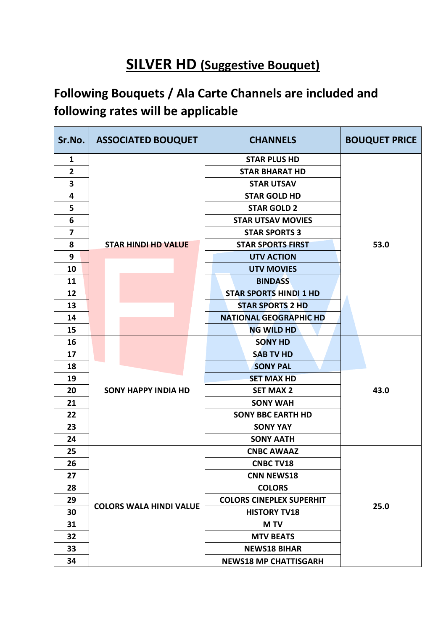## **SILVER HD (Suggestive Bouquet)**

## **Following Bouquets / Ala Carte Channels are included and following rates will be applicable**

| Sr.No.                  |                            | <b>ASSOCIATED BOUQUET</b>      | <b>CHANNELS</b>                 | <b>BOUQUET PRICE</b> |
|-------------------------|----------------------------|--------------------------------|---------------------------------|----------------------|
| $\mathbf{1}$            |                            |                                | <b>STAR PLUS HD</b>             |                      |
| $\overline{\mathbf{2}}$ |                            |                                | <b>STAR BHARAT HD</b>           |                      |
| 3                       |                            |                                | <b>STAR UTSAV</b>               |                      |
| 4                       |                            |                                | <b>STAR GOLD HD</b>             |                      |
| 5                       |                            |                                | <b>STAR GOLD 2</b>              |                      |
| 6                       |                            |                                | <b>STAR UTSAV MOVIES</b>        |                      |
| $\overline{\mathbf{z}}$ |                            |                                | <b>STAR SPORTS 3</b>            |                      |
| 8                       |                            | <b>STAR HINDI HD VALUE</b>     | <b>STAR SPORTS FIRST</b>        | 53.0                 |
| 9                       |                            |                                | <b>UTV ACTION</b>               |                      |
| 10                      |                            |                                | <b>UTV MOVIES</b>               |                      |
| 11                      |                            |                                | <b>BINDASS</b>                  |                      |
| 12                      |                            |                                | <b>STAR SPORTS HINDI 1 HD</b>   |                      |
| 13                      |                            |                                | <b>STAR SPORTS 2 HD</b>         |                      |
| 14                      |                            |                                | <b>NATIONAL GEOGRAPHIC HD</b>   |                      |
| 15                      |                            |                                | <b>NG WILD HD</b>               |                      |
| 16                      |                            |                                | <b>SONY HD</b>                  |                      |
| 17                      |                            |                                | <b>SAB TV HD</b>                |                      |
| 18                      |                            |                                | <b>SONY PAL</b>                 |                      |
| 19                      |                            |                                | <b>SET MAX HD</b>               |                      |
| 20                      | <b>SONY HAPPY INDIA HD</b> |                                | <b>SET MAX 2</b>                | 43.0                 |
| 21                      |                            |                                | <b>SONY WAH</b>                 |                      |
| 22                      |                            |                                | <b>SONY BBC EARTH HD</b>        |                      |
| 23                      |                            |                                | <b>SONY YAY</b>                 |                      |
| 24                      |                            |                                | <b>SONY AATH</b>                |                      |
| 25                      |                            |                                | <b>CNBC AWAAZ</b>               |                      |
| 26                      |                            |                                | <b>CNBC TV18</b>                |                      |
| 27                      |                            |                                | <b>CNN NEWS18</b>               |                      |
| 28                      |                            |                                | <b>COLORS</b>                   |                      |
| 29                      |                            |                                | <b>COLORS CINEPLEX SUPERHIT</b> |                      |
| 30                      |                            | <b>COLORS WALA HINDI VALUE</b> | <b>HISTORY TV18</b>             | 25.0                 |
| 31                      |                            |                                | <b>MTV</b>                      |                      |
| 32                      |                            |                                | <b>MTV BEATS</b>                |                      |
| 33                      |                            |                                | <b>NEWS18 BIHAR</b>             |                      |
| 34                      |                            |                                | <b>NEWS18 MP CHATTISGARH</b>    |                      |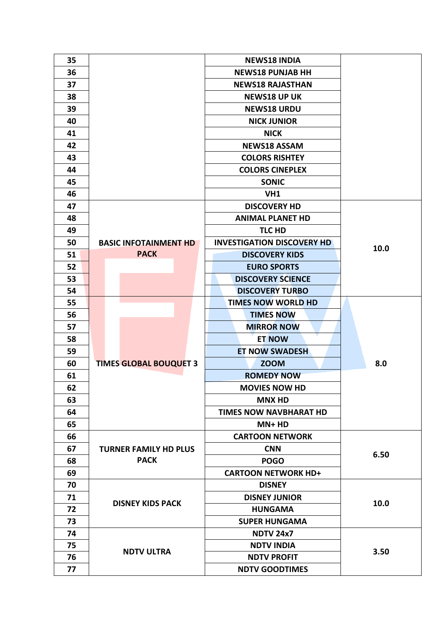| 35 |                               | <b>NEWS18 INDIA</b>               |      |
|----|-------------------------------|-----------------------------------|------|
| 36 |                               | <b>NEWS18 PUNJAB HH</b>           |      |
| 37 |                               | <b>NEWS18 RAJASTHAN</b>           |      |
| 38 |                               | <b>NEWS18 UP UK</b>               |      |
| 39 |                               | <b>NEWS18 URDU</b>                |      |
| 40 |                               | <b>NICK JUNIOR</b>                |      |
| 41 |                               | <b>NICK</b>                       |      |
| 42 |                               | <b>NEWS18 ASSAM</b>               |      |
| 43 |                               | <b>COLORS RISHTEY</b>             |      |
| 44 |                               | <b>COLORS CINEPLEX</b>            |      |
| 45 |                               | <b>SONIC</b>                      |      |
| 46 |                               | VH1                               |      |
| 47 |                               | <b>DISCOVERY HD</b>               |      |
| 48 |                               | <b>ANIMAL PLANET HD</b>           |      |
| 49 |                               | TLC HD                            |      |
| 50 | <b>BASIC INFOTAINMENT HD</b>  | <b>INVESTIGATION DISCOVERY HD</b> | 10.0 |
| 51 | <b>PACK</b>                   | <b>DISCOVERY KIDS</b>             |      |
| 52 |                               | <b>EURO SPORTS</b>                |      |
| 53 |                               | <b>DISCOVERY SCIENCE</b>          |      |
| 54 |                               | <b>DISCOVERY TURBO</b>            |      |
| 55 |                               | <b>TIMES NOW WORLD HD</b>         |      |
| 56 |                               | <b>TIMES NOW</b>                  |      |
| 57 |                               | <b>MIRROR NOW</b>                 |      |
| 58 |                               | <b>ET NOW</b>                     |      |
| 59 |                               | <b>ET NOW SWADESH</b>             |      |
| 60 | <b>TIMES GLOBAL BOUQUET 3</b> | <b>ZOOM</b>                       | 8.0  |
| 61 |                               | <b>ROMEDY NOW</b>                 |      |
| 62 |                               | <b>MOVIES NOW HD</b>              |      |
| 63 |                               | <b>MNX HD</b>                     |      |
| 64 |                               | TIMES NOW NAVBHARAT HD            |      |
| 65 |                               | MN+ HD                            |      |
| 66 |                               | <b>CARTOON NETWORK</b>            |      |
| 67 | <b>TURNER FAMILY HD PLUS</b>  | <b>CNN</b>                        | 6.50 |
| 68 | <b>PACK</b>                   | <b>POGO</b>                       |      |
| 69 |                               | <b>CARTOON NETWORK HD+</b>        |      |
| 70 |                               | <b>DISNEY</b>                     |      |
| 71 | <b>DISNEY KIDS PACK</b>       | <b>DISNEY JUNIOR</b>              | 10.0 |
| 72 |                               | <b>HUNGAMA</b>                    |      |
| 73 |                               | <b>SUPER HUNGAMA</b>              |      |
| 74 |                               | <b>NDTV 24x7</b>                  |      |
| 75 | <b>NDTV ULTRA</b>             | <b>NDTV INDIA</b>                 | 3.50 |
| 76 |                               | <b>NDTV PROFIT</b>                |      |
| 77 |                               | <b>NDTV GOODTIMES</b>             |      |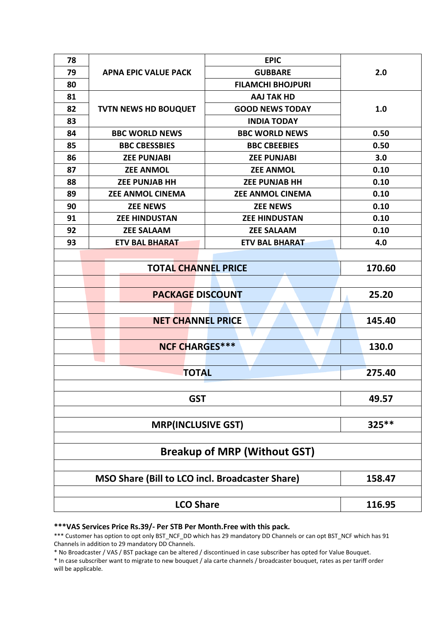| 78                                  |                             | <b>EPIC</b>              | 2.0  |  |  |  |  |
|-------------------------------------|-----------------------------|--------------------------|------|--|--|--|--|
| 79                                  | <b>APNA EPIC VALUE PACK</b> | <b>GUBBARE</b>           |      |  |  |  |  |
| 80                                  |                             | <b>FILAMCHI BHOJPURI</b> |      |  |  |  |  |
| 81                                  |                             | <b>AAJ TAK HD</b>        |      |  |  |  |  |
| 82                                  | <b>TVTN NEWS HD BOUQUET</b> | <b>GOOD NEWS TODAY</b>   | 1.0  |  |  |  |  |
| 83                                  |                             | <b>INDIA TODAY</b>       |      |  |  |  |  |
| 84                                  | <b>BBC WORLD NEWS</b>       | <b>BBC WORLD NEWS</b>    | 0.50 |  |  |  |  |
| 85                                  | <b>BBC CBESSBIES</b>        | <b>BBC CBEEBIES</b>      | 0.50 |  |  |  |  |
| 86                                  | <b>ZEE PUNJABI</b>          | <b>ZEE PUNJABI</b>       | 3.0  |  |  |  |  |
| 87                                  | <b>ZEE ANMOL</b>            | <b>ZEE ANMOL</b>         | 0.10 |  |  |  |  |
| 88                                  | <b>ZEE PUNJAB HH</b>        | <b>ZEE PUNJAB HH</b>     | 0.10 |  |  |  |  |
| 89                                  | <b>ZEE ANMOL CINEMA</b>     | <b>ZEE ANMOL CINEMA</b>  | 0.10 |  |  |  |  |
| 90                                  | <b>ZEE NEWS</b>             | <b>ZEE NEWS</b>          | 0.10 |  |  |  |  |
| 91                                  | <b>ZEE HINDUSTAN</b>        | <b>ZEE HINDUSTAN</b>     | 0.10 |  |  |  |  |
| 92                                  | <b>ZEE SALAAM</b>           | <b>ZEE SALAAM</b>        | 0.10 |  |  |  |  |
| 93                                  | <b>ETV BAL BHARAT</b>       | <b>ETV BAL BHARAT</b>    | 4.0  |  |  |  |  |
|                                     |                             |                          |      |  |  |  |  |
|                                     | 170.60                      |                          |      |  |  |  |  |
|                                     |                             |                          |      |  |  |  |  |
|                                     | <b>PACKAGE DISCOUNT</b>     |                          |      |  |  |  |  |
|                                     |                             |                          |      |  |  |  |  |
|                                     | <b>NET CHANNEL PRICE</b>    |                          |      |  |  |  |  |
|                                     |                             |                          |      |  |  |  |  |
|                                     | <b>NCF CHARGES***</b>       |                          |      |  |  |  |  |
|                                     |                             |                          |      |  |  |  |  |
|                                     | 275.40                      |                          |      |  |  |  |  |
|                                     |                             |                          |      |  |  |  |  |
|                                     | 49.57                       |                          |      |  |  |  |  |
|                                     |                             |                          |      |  |  |  |  |
|                                     | $325**$                     |                          |      |  |  |  |  |
|                                     |                             |                          |      |  |  |  |  |
| <b>Breakup of MRP (Without GST)</b> |                             |                          |      |  |  |  |  |
|                                     |                             |                          |      |  |  |  |  |
|                                     | 158.47                      |                          |      |  |  |  |  |
|                                     |                             |                          |      |  |  |  |  |
|                                     | 116.95                      |                          |      |  |  |  |  |

**\*\*\*VAS Services Price Rs.39/- Per STB Per Month.Free with this pack.**

\*\*\* Customer has option to opt only BST\_NCF\_DD which has 29 mandatory DD Channels or can opt BST\_NCF which has 91 Channels in addition to 29 mandatory DD Channels.

\* No Broadcaster / VAS / BST package can be altered / discontinued in case subscriber has opted for Value Bouquet.

\* In case subscriber want to migrate to new bouquet / ala carte channels / broadcaster bouquet, rates as per tariff order will be applicable.